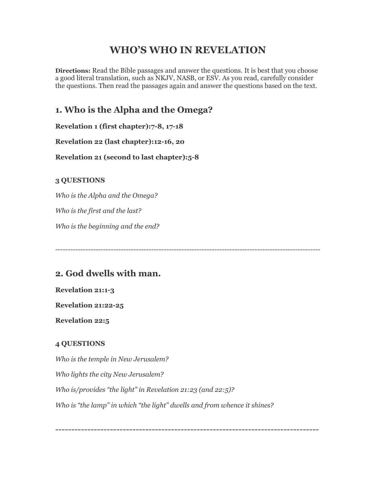# **WHO'S WHO IN REVELATION**

**Directions:** Read the Bible passages and answer the questions. It is best that you choose a good literal translation, such as NKJV, NASB, or ESV. As you read, carefully consider the questions. Then read the passages again and answer the questions based on the text.

## **1. Who is the Alpha and the Omega?**

**Revelation 1 (first chapter):7-8, 17-18**

**Revelation 22 (last chapter):12-16, 20**

**Revelation 21 (second to last chapter):5-8**

### **3 QUESTIONS**

*Who is the Alpha and the Omega?*

*Who is the first and the last?*

*Who is the beginning and the end?*

---------------------------------------------------------------------------------------------------------

## **2. God dwells with man.**

### **Revelation 21:1-3**

**Revelation 21:22-25**

**Revelation 22:5**

### **4 QUESTIONS**

*Who is the temple in New Jerusalem? Who lights the city New Jerusalem? Who is/provides "the light" in Revelation 21:23 (and 22:5)? Who is "the lamp" in which "the light" dwells and from whence it shines?*

----------------------------------------------------------------------------------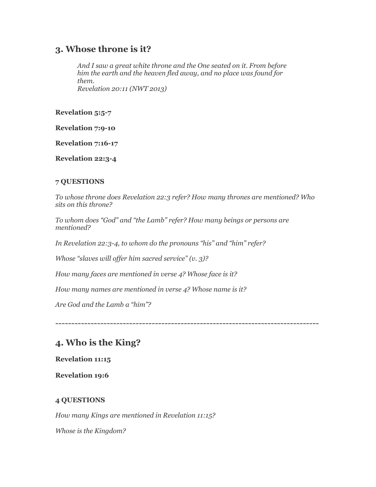### **3. Whose throne is it?**

*And I saw a great white throne and the One seated on it. From before him the earth and the heaven fled away, and no place was found for them. Revelation 20:11 (NWT 2013)*

**Revelation 5:5-7**

**Revelation 7:9-10**

**Revelation 7:16-17**

**Revelation 22:3-4**

#### **7 QUESTIONS**

*To whose throne does Revelation 22:3 refer? How many thrones are mentioned? Who sits on this throne?*

*To whom does "God" and "the Lamb" refer? How many beings or persons are mentioned?*

*In Revelation 22:3-4, to whom do the pronouns "his" and "him" refer?*

*Whose "slaves will offer him sacred service" (v. 3)?*

*How many faces are mentioned in verse 4? Whose face is it?*

*How many names are mentioned in verse 4? Whose name is it?*

*Are God and the Lamb a "him"?*

----------------------------------------------------------------------------------

## **4. Who is the King?**

**Revelation 11:15**

**Revelation 19:6**

#### **4 QUESTIONS**

*How many Kings are mentioned in Revelation 11:15?*

*Whose is the Kingdom?*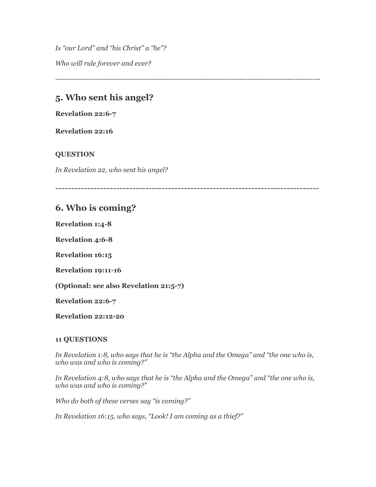*Is "our Lord" and "his Christ" a "he"? Who will rule forever and ever?*

---------------------------------------------------------------------------------------------------------

## **5. Who sent his angel?**

**Revelation 22:6-7**

**Revelation 22:16**

#### **QUESTION**

*In Revelation 22, who sent his angel?*

----------------------------------------------------------------------------------

### **6. Who is coming?**

**Revelation 1:4-8**

**Revelation 4:6-8**

**Revelation 16:15**

**Revelation 19:11-16**

**(Optional: see also Revelation 21:5-7)**

**Revelation 22:6-7**

**Revelation 22:12-20**

#### **11 QUESTIONS**

*In Revelation 1:8, who says that he is "the Alpha and the Omega" and "the one who is, who was and who is coming?"*

*In Revelation 4:8, who says that he is "the Alpha and the Omega" and "the one who is, who was and who is coming?"*

*Who do both of these verses say "is coming?"*

*In Revelation 16:15, who says, "Look! I am coming as a thief?"*